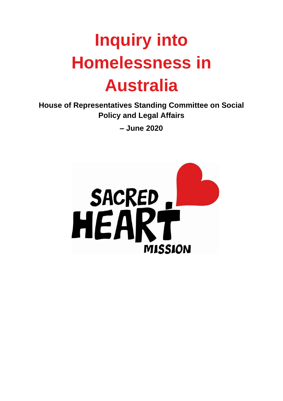# **Inquiry into Homelessness in Australia**

**House of Representatives Standing Committee on Social Policy and Legal Affairs**

**– June 2020**

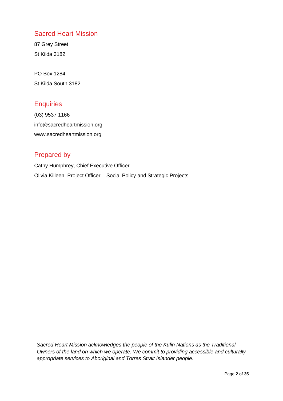## Sacred Heart Mission

87 Grey Street St Kilda 3182

PO Box 1284 St Kilda South 3182

## **Enquiries**

(03) 9537 1166 info@sacredheartmission.org [www.sacredheartmission.org](http://www.sacredheartmission.org/)

## Prepared by

Cathy Humphrey, Chief Executive Officer Olivia Killeen, Project Officer – Social Policy and Strategic Projects

*Sacred Heart Mission acknowledges the people of the Kulin Nations as the Traditional Owners of the land on which we operate. We commit to providing accessible and culturally appropriate services to Aboriginal and Torres Strait Islander people.*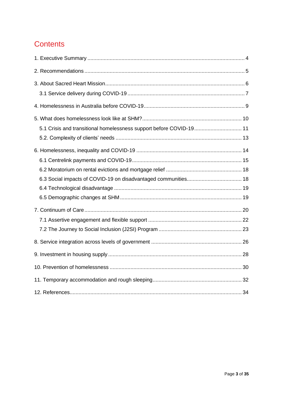# **Contents**

| 5.1 Crisis and transitional homelessness support before COVID-19 11 |  |
|---------------------------------------------------------------------|--|
|                                                                     |  |
|                                                                     |  |
|                                                                     |  |
|                                                                     |  |
|                                                                     |  |
|                                                                     |  |
|                                                                     |  |
|                                                                     |  |
|                                                                     |  |
|                                                                     |  |
|                                                                     |  |
|                                                                     |  |
|                                                                     |  |
|                                                                     |  |
|                                                                     |  |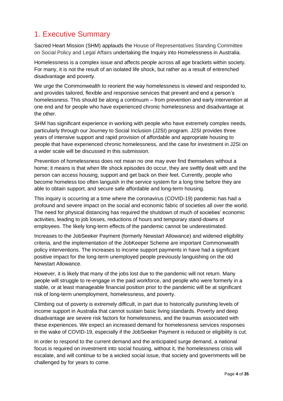# <span id="page-3-0"></span>1. Executive Summary

Sacred Heart Mission (SHM) applauds the House of Representatives Standing Committee on Social Policy and Legal Affairs undertaking the Inquiry into Homelessness in Australia.

Homelessness is a complex issue and affects people across all age brackets within society. For many, it is not the result of an isolated life shock, but rather as a result of entrenched disadvantage and poverty.

We urge the Commonwealth to reorient the way homelessness is viewed and responded to, and provides tailored, flexible and responsive services that prevent and end a person's homelessness. This should be along a continuum – from prevention and early intervention at one end and for people who have experienced chronic homelessness and disadvantage at the other.

SHM has significant experience in working with people who have extremely complex needs, particularly through our Journey to Social Inclusion (J2SI) program. J2SI provides three years of intensive support and rapid provision of affordable and appropriate housing to people that have experienced chronic homelessness, and the case for investment in J2SI on a wider scale will be discussed in this submission.

Prevention of homelessness does not mean no one may ever find themselves without a home; it means is that when life shock episodes do occur, they are swiftly dealt with and the person can access housing, support and get back on their feet. Currently, people who become homeless too often languish in the service system for a long time before they are able to obtain support, and secure safe affordable and long-term housing.

This inquiry is occurring at a time where the coronavirus (COVID-19) pandemic has had a profound and severe impact on the social and economic fabric of societies all over the world. The need for physical distancing has required the shutdown of much of societies' economic activities, leading to job losses, reductions of hours and temporary stand-downs of employees. The likely long-term effects of the pandemic cannot be underestimated.

Increases to the JobSeeker Payment (formerly Newstart Allowance) and widened eligibility criteria, and the implementation of the JobKeeper Scheme are important Commonwealth policy interventions. The increases to income support payments in have had a significant positive impact for the long-term unemployed people previously languishing on the old Newstart Allowance.

However, it is likely that many of the jobs lost due to the pandemic will not return. Many people will struggle to re-engage in the paid workforce, and people who were formerly in a stable, or at least manageable financial position prior to the pandemic will be at significant risk of long-term unemployment, homelessness, and poverty.

Climbing out of poverty is extremely difficult, in part due to historically punishing levels of income support in Australia that cannot sustain basic living standards. Poverty and deep disadvantage are severe risk factors for homelessness, and the traumas associated with these experiences. We expect an increased demand for homelessness services responses in the wake of COVID-19, especially if the JobSeeker Payment is reduced or eligibility is cut.

In order to respond to the current demand and the anticipated surge demand, a national focus is required on investment into social housing, without it, the homelessness crisis will escalate, and will continue to be a wicked social issue, that society and governments will be challenged by for years to come.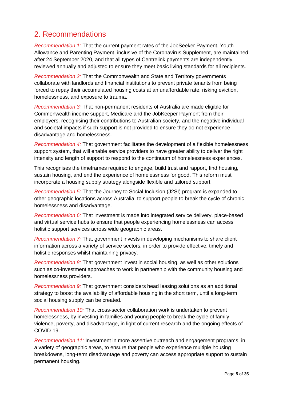# <span id="page-4-0"></span>2. Recommendations

*Recommendation 1:* That the current payment rates of the JobSeeker Payment, Youth Allowance and Parenting Payment, inclusive of the Coronavirus Supplement, are maintained after 24 September 2020, and that all types of Centrelink payments are independently reviewed annually and adjusted to ensure they meet basic living standards for all recipients.

*Recommendation 2:* That the Commonwealth and State and Territory governments collaborate with landlords and financial institutions to prevent private tenants from being forced to repay their accumulated housing costs at an unaffordable rate, risking eviction, homelessness, and exposure to trauma.

*Recommendation 3:* That non-permanent residents of Australia are made eligible for Commonwealth income support, Medicare and the JobKeeper Payment from their employers, recognising their contributions to Australian society, and the negative individual and societal impacts if such support is not provided to ensure they do not experience disadvantage and homelessness.

*Recommendation 4:* That government facilitates the development of a flexible homelessness support system, that will enable service providers to have greater ability to deliver the right intensity and length of support to respond to the continuum of homelessness experiences.

This recognises the timeframes required to engage, build trust and rapport, find housing, sustain housing, and end the experience of homelessness for good. This reform must incorporate a housing supply strategy alongside flexible and tailored support.

*Recommendation 5:* That the Journey to Social Inclusion (J2SI) program is expanded to other geographic locations across Australia, to support people to break the cycle of chronic homelessness and disadvantage.

*Recommendation 6:* That investment is made into integrated service delivery, place-based and virtual service hubs to ensure that people experiencing homelessness can access holistic support services across wide geographic areas.

*Recommendation 7:* That government invests in developing mechanisms to share client information across a variety of service sectors, in order to provide effective, timely and holistic responses whilst maintaining privacy.

*Recommendation 8:* That government invest in social housing, as well as other solutions such as co-investment approaches to work in partnership with the community housing and homelessness providers.

*Recommendation 9:* That government considers head leasing solutions as an additional strategy to boost the availability of affordable housing in the short term, until a long-term social housing supply can be created.

*Recommendation 10:* That cross-sector collaboration work is undertaken to prevent homelessness, by investing in families and young people to break the cycle of family violence, poverty, and disadvantage, in light of current research and the ongoing effects of COVID-19.

*Recommendation 11:* Investment in more assertive outreach and engagement programs, in a variety of geographic areas, to ensure that people who experience multiple housing breakdowns, long-term disadvantage and poverty can access appropriate support to sustain permanent housing.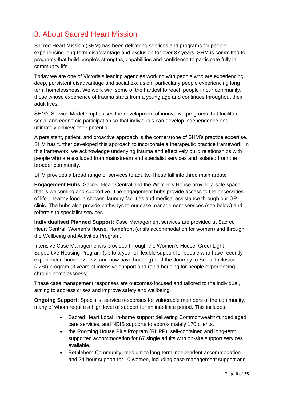# <span id="page-5-0"></span>3. About Sacred Heart Mission

Sacred Heart Mission (SHM) has been delivering services and programs for people experiencing long-term disadvantage and exclusion for over 37 years. SHM is committed to programs that build people's strengths, capabilities and confidence to participate fully in community life.

Today we are one of Victoria's leading agencies working with people who are experiencing deep, persistent disadvantage and social exclusion, particularly people experiencing long term homelessness. We work with some of the hardest to reach people in our community, those whose experience of trauma starts from a young age and continues throughout their adult lives.

SHM's Service Model emphasises the development of innovative programs that facilitate social and economic participation so that individuals can develop independence and ultimately achieve their potential.

A persistent, patient, and proactive approach is the cornerstone of SHM's practice expertise. SHM has further developed this approach to incorporate a therapeutic practice framework. In this framework, we acknowledge underlying trauma and effectively build relationships with people who are excluded from mainstream and specialist services and isolated from the broader community.

SHM provides a broad range of services to adults. These fall into three main areas:

**Engagement Hubs**: Sacred Heart Central and the Women's House provide a safe space that is welcoming and supportive. The engagement hubs provide access to the necessities of life - healthy food, a shower, laundry facilities and medical assistance through our GP clinic. The hubs also provide pathways to our case management services (see below) and referrals to specialist services.

**Individualised Planned Support:** Case Management services are provided at Sacred Heart Central, Women's House, Homefront (crisis accommodation for women) and through the Wellbeing and Activities Program.

Intensive Case Management is provided through the Women's House, GreenLight Supportive Housing Program (up to a year of flexible support for people who have recently experienced homelessness and now have housing) and the Journey to Social Inclusion (J2SI) program (3 years of intensive support and rapid housing for people experiencing chronic homelessness).

These case management responses are outcomes-focused and tailored to the individual, aiming to address crises and improve safety and wellbeing.

**Ongoing Support:** Specialist service responses for vulnerable members of the community, many of whom require a high level of support for an indefinite period. This includes:

- Sacred Heart Local, in-home support delivering Commonwealth-funded aged care services, and NDIS supports to approximately 170 clients.
- the Rooming House Plus Program (RHPP), self-contained and long-term supported accommodation for 67 single adults with on-site support services available.
- Bethlehem Community, medium to long-term independent accommodation and 24-hour support for 10 women, including case management support and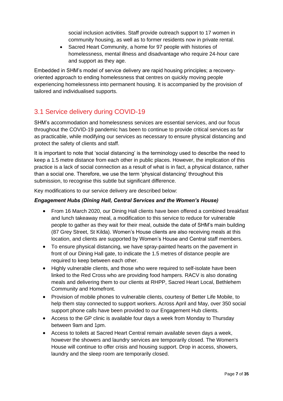social inclusion activities. Staff provide outreach support to 17 women in community housing, as well as to former residents now in private rental.

Sacred Heart Community, a home for 97 people with histories of homelessness, mental illness and disadvantage who require 24-hour care and support as they age.

Embedded in SHM's model of service delivery are rapid housing principles; a recoveryoriented approach to ending homelessness that centres on quickly moving people experiencing homelessness into permanent housing. It is accompanied by the provision of tailored and individualised supports.

# <span id="page-6-0"></span>3.1 Service delivery during COVID-19

SHM's accommodation and homelessness services are essential services, and our focus throughout the COVID-19 pandemic has been to continue to provide critical services as far as practicable, while modifying our services as necessary to ensure physical distancing and protect the safety of clients and staff.

It is important to note that 'social distancing' is the terminology used to describe the need to keep a 1.5 metre distance from each other in public places. However, the implication of this practice is a lack of social connection as a result of what is in fact, a physical distance, rather than a social one. Therefore, we use the term 'physical distancing' throughout this submission, to recognise this subtle but significant difference.

Key modifications to our service delivery are described below:

#### *Engagement Hubs (Dining Hall, Central Services and the Women's House)*

- From 16 March 2020, our Dining Hall clients have been offered a combined breakfast and lunch takeaway meal, a modification to this service to reduce for vulnerable people to gather as they wait for their meal, outside the date of SHM's main building (87 Grey Street, St Kilda). Women's House clients are also receiving meals at this location, and clients are supported by Women's House and Central staff members.
- To ensure physical distancing, we have spray-painted hearts on the pavement in front of our Dining Hall gate, to indicate the 1.5 metres of distance people are required to keep between each other.
- Highly vulnerable clients, and those who were required to self-isolate have been linked to the Red Cross who are providing food hampers. RACV is also donating meals and delivering them to our clients at RHPP, Sacred Heart Local, Bethlehem Community and Homefront.
- Provision of mobile phones to vulnerable clients, courtesy of Better Life Mobile, to help them stay connected to support workers. Across April and May, over 350 social support phone calls have been provided to our Engagement Hub clients.
- Access to the GP clinic is available four days a week from Monday to Thursday between 9am and 1pm.
- Access to toilets at Sacred Heart Central remain available seven days a week, however the showers and laundry services are temporarily closed. The Women's House will continue to offer crisis and housing support. Drop in access, showers, laundry and the sleep room are temporarily closed.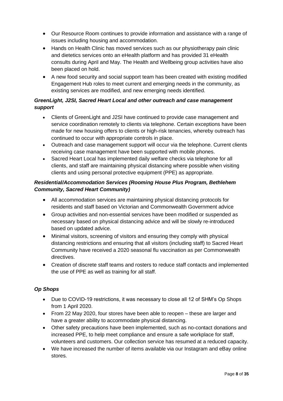- Our Resource Room continues to provide information and assistance with a range of issues including housing and accommodation.
- Hands on Health Clinic has moved services such as our physiotherapy pain clinic and dietetics services onto an eHealth platform and has provided 31 eHealth consults during April and May. The Health and Wellbeing group activities have also been placed on hold.
- A new food security and social support team has been created with existing modified Engagement Hub roles to meet current and emerging needs in the community, as existing services are modified, and new emerging needs identified.

#### *GreenLight, J2SI, Sacred Heart Local and other outreach and case management support*

- Clients of GreenLight and J2SI have continued to provide case management and service coordination remotely to clients via telephone. Certain exceptions have been made for new housing offers to clients or high-risk tenancies, whereby outreach has continued to occur with appropriate controls in place.
- Outreach and case management support will occur via the telephone. Current clients receiving case management have been supported with mobile phones.
- Sacred Heart Local has implemented daily welfare checks via telephone for all clients, and staff are maintaining physical distancing where possible when visiting clients and using personal protective equipment (PPE) as appropriate.

#### *Residential/Accommodation Services (Rooming House Plus Program, Bethlehem Community, Sacred Heart Community)*

- All accommodation services are maintaining physical distancing protocols for residents and staff based on Victorian and Commonwealth Government advice
- Group activities and non-essential services have been modified or suspended as necessary based on physical distancing advice and will be slowly re-introduced based on updated advice.
- Minimal visitors, screening of visitors and ensuring they comply with physical distancing restrictions and ensuring that all visitors (including staff) to Sacred Heart Community have received a 2020 seasonal flu vaccination as per Commonwealth directives.
- Creation of discrete staff teams and rosters to reduce staff contacts and implemented the use of PPE as well as training for all staff.

#### *Op Shops*

- Due to COVID-19 restrictions, it was necessary to close all 12 of SHM's Op Shops from 1 April 2020.
- From 22 May 2020, four stores have been able to reopen these are larger and have a greater ability to accommodate physical distancing.
- Other safety precautions have been implemented, such as no-contact donations and increased PPE, to help meet compliance and ensure a safe workplace for staff, volunteers and customers. Our collection service has resumed at a reduced capacity.
- We have increased the number of items available via our Instagram and eBay online stores.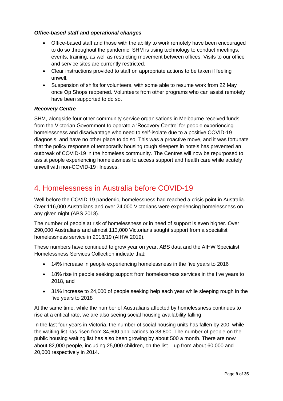#### *Office-based staff and operational changes*

- Office-based staff and those with the ability to work remotely have been encouraged to do so throughout the pandemic. SHM is using technology to conduct meetings, events, training, as well as restricting movement between offices. Visits to our office and service sites are currently restricted.
- Clear instructions provided to staff on appropriate actions to be taken if feeling unwell.
- Suspension of shifts for volunteers, with some able to resume work from 22 May once Op Shops reopened. Volunteers from other programs who can assist remotely have been supported to do so.

#### *Recovery Centre*

SHM, alongside four other community service organisations in Melbourne received funds from the Victorian Government to operate a 'Recovery Centre' for people experiencing homelessness and disadvantage who need to self-isolate due to a positive COVID-19 diagnosis, and have no other place to do so. This was a proactive move, and it was fortunate that the policy response of temporarily housing rough sleepers in hotels has prevented an outbreak of COVID-19 in the homeless community. The Centres will now be repurposed to assist people experiencing homelessness to access support and health care while acutely unwell with non-COVID-19 illnesses.

# <span id="page-8-0"></span>4. Homelessness in Australia before COVID-19

Well before the COVID-19 pandemic, homelessness had reached a crisis point in Australia. Over 116,000 Australians and over 24,000 Victorians were experiencing homelessness on any given night (ABS 2018).

The number of people at risk of homelessness or in need of support is even higher. Over 290,000 Australians and almost 113,000 Victorians sought support from a specialist homelessness service in 2018/19 (AIHW 2019).

These numbers have continued to grow year on year. ABS data and the AIHW Specialist Homelessness Services Collection indicate that:

- 14% increase in people experiencing homelessness in the five years to 2016
- 18% rise in people seeking support from homelessness services in the five years to 2018, and
- 31% increase to 24,000 of people seeking help each year while sleeping rough in the five years to 2018

At the same time, while the number of Australians affected by homelessness continues to rise at a critical rate, we are also seeing social housing availability falling.

In the last four years in Victoria, the number of social housing units has fallen by 200, while the waiting list has risen from 34,600 applications to 38,800. The number of people on the public housing waiting list has also been growing by about 500 a month. There are now about 82,000 people, including 25,000 children, on the list – up from about 60,000 and 20,000 respectively in 2014.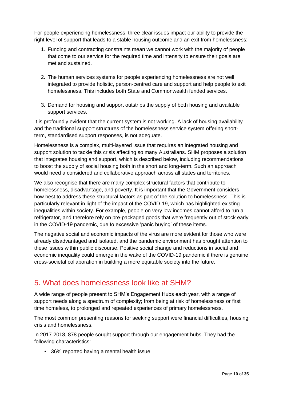For people experiencing homelessness, three clear issues impact our ability to provide the right level of support that leads to a stable housing outcome and an exit from homelessness:

- 1. Funding and contracting constraints mean we cannot work with the majority of people that come to our service for the required time and intensity to ensure their goals are met and sustained.
- 2. The human services systems for people experiencing homelessness are not well integrated to provide holistic, person-centred care and support and help people to exit homelessness. This includes both State and Commonwealth funded services.
- 3. Demand for housing and support outstrips the supply of both housing and available support services.

It is profoundly evident that the current system is not working. A lack of housing availability and the traditional support structures of the homelessness service system offering shortterm, standardised support responses, is not adequate.

Homelessness is a complex, multi-layered issue that requires an integrated housing and support solution to tackle this crisis affecting so many Australians. SHM proposes a solution that integrates housing and support, which is described below, including recommendations to boost the supply of social housing both in the short and long-term. Such an approach would need a considered and collaborative approach across all states and territories.

We also recognise that there are many complex structural factors that contribute to homelessness, disadvantage, and poverty. It is important that the Government considers how best to address these structural factors as part of the solution to homelessness. This is particularly relevant in light of the impact of the COVID-19, which has highlighted existing inequalities within society. For example, people on very low incomes cannot afford to run a refrigerator, and therefore rely on pre-packaged goods that were frequently out of stock early in the COVID-19 pandemic, due to excessive 'panic buying' of these items.

The negative social and economic impacts of the virus are more evident for those who were already disadvantaged and isolated, and the pandemic environment has brought attention to these issues within public discourse. Positive social change and reductions in social and economic inequality could emerge in the wake of the COVID-19 pandemic if there is genuine cross-societal collaboration in building a more equitable society into the future.

# <span id="page-9-0"></span>5. What does homelessness look like at SHM?

A wide range of people present to SHM's Engagement Hubs each year, with a range of support needs along a spectrum of complexity; from being at risk of homelessness or first time homeless, to prolonged and repeated experiences of primary homelessness.

The most common presenting reasons for seeking support were financial difficulties, housing crisis and homelessness.

In 2017-2018, 878 people sought support through our engagement hubs. They had the following characteristics:

• 36% reported having a mental health issue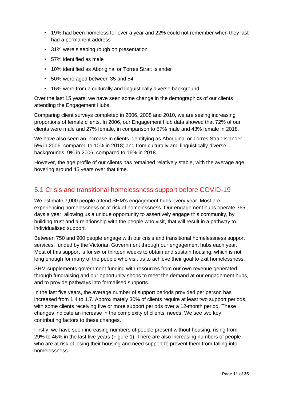- 19% had been homeless for over a year and 22% could not remember when they last had a permanent address
- 31% were sleeping rough on presentation
- 57% identified as male
- 10% identified as Aboriginal or Torres Strait Islander
- 50% were aged between 35 and 54
- 16% were from a culturally and linguistically diverse background

Over the last 15 years, we have seen some change in the demographics of our clients attending the Engagement Hubs.

Comparing client surveys completed in 2006, 2008 and 2010, we are seeing increasing proportions of female clients. In 2006, our Engagement Hub data showed that 72% of our clients were male and 27% female, in comparison to 57% male and 43% female in 2018.

We have also seen an increase in clients identifying as Aboriginal or Torres Strait Islander, 5% in 2006, compared to 10% in 2018; and from culturally and linguistically diverse backgrounds, 9% in 2006, compared to 16% in 2018.

However, the age profile of our clients has remained relatively stable, with the average age hovering around 45 years over that time.

## <span id="page-10-0"></span>5.1 Crisis and transitional homelessness support before COVID-19

We estimate 7,000 people attend SHM's engagement hubs every year. Most are experiencing homelessness or at risk of homelessness. Our engagement hubs operate 365 days a year, allowing us a unique opportunity to assertively engage this community, by building trust and a relationship with the people who visit, that will result in a pathway to individualised support.

Between 750 and 900 people engage with our crisis and transitional homelessness support services, funded by the Victorian Government through our engagement hubs each year. Most of this support is for six or thirteen weeks to obtain and sustain housing, which is not long enough for many of the people who visit us to achieve their goal to exit homelessness.

SHM supplements government funding with resources from our own revenue generated through fundraising and our opportunity shops to meet the demand at our engagement hubs, and to provide pathways into formalised supports.

In the last five years, the average number of support periods provided per person has increased from 1.4 to 1.7. Approximately 30% of clients require at least two support periods, with some clients receiving five or more support periods over a 12-month period. These changes indicate an increase in the complexity of clients' needs. We see two key contributing factors to these changes.

Firstly, we have seen increasing numbers of people present without housing, rising from 29% to 46% in the last five years (Figure 1). There are also increasing numbers of people who are at risk of losing their housing and need support to prevent them from falling into homelessness.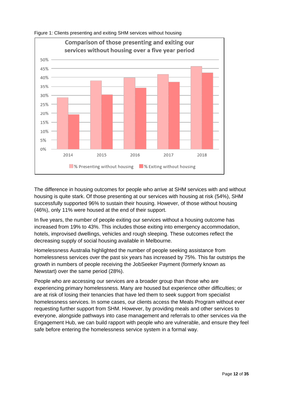

Figure 1: Clients presenting and exiting SHM services without housing

The difference in housing outcomes for people who arrive at SHM services with and without housing is quite stark. Of those presenting at our services with housing at risk (54%), SHM successfully supported 96% to sustain their housing. However, of those without housing (46%), only 11% were housed at the end of their support.

In five years, the number of people exiting our services without a housing outcome has increased from 19% to 43%. This includes those exiting into emergency accommodation, hotels, improvised dwellings, vehicles and rough sleeping. These outcomes reflect the decreasing supply of social housing available in Melbourne.

Homelessness Australia highlighted the number of people seeking assistance from homelessness services over the past six years has increased by 75%. This far outstrips the growth in numbers of people receiving the JobSeeker Payment (formerly known as Newstart) over the same period (28%).

People who are accessing our services are a broader group than those who are experiencing primary homelessness. Many are housed but experience other difficulties; or are at risk of losing their tenancies that have led them to seek support from specialist homelessness services. In some cases, our clients access the Meals Program without ever requesting further support from SHM. However, by providing meals and other services to everyone, alongside pathways into case management and referrals to other services via the Engagement Hub, we can build rapport with people who are vulnerable, and ensure they feel safe before entering the homelessness service system in a formal way.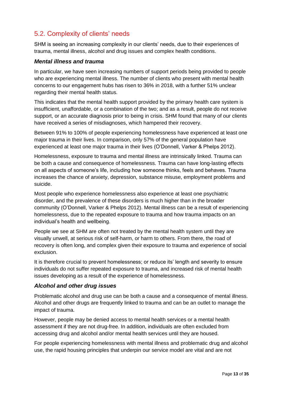# <span id="page-12-0"></span>5.2. Complexity of clients' needs

SHM is seeing an increasing complexity in our clients' needs, due to their experiences of trauma, mental illness, alcohol and drug issues and complex health conditions.

#### *Mental illness and trauma*

In particular, we have seen increasing numbers of support periods being provided to people who are experiencing mental illness. The number of clients who present with mental health concerns to our engagement hubs has risen to 36% in 2018, with a further 51% unclear regarding their mental health status.

This indicates that the mental health support provided by the primary health care system is insufficient, unaffordable, or a combination of the two; and as a result, people do not receive support, or an accurate diagnosis prior to being in crisis. SHM found that many of our clients have received a series of misdiagnoses, which hampered their recovery.

Between 91% to 100% of people experiencing homelessness have experienced at least one major trauma in their lives. In comparison, only 57% of the general population have experienced at least one major trauma in their lives (O'Donnell, Varker & Phelps 2012).

Homelessness, exposure to trauma and mental illness are intrinsically linked. Trauma can be both a cause and consequence of homelessness. Trauma can have long-lasting effects on all aspects of someone's life, including how someone thinks, feels and behaves. Trauma increases the chance of anxiety, depression, substance misuse, employment problems and suicide.

Most people who experience homelessness also experience at least one psychiatric disorder, and the prevalence of these disorders is much higher than in the broader community (O'Donnell, Varker & Phelps 2012). Mental illness can be a result of experiencing homelessness, due to the repeated exposure to trauma and how trauma impacts on an individual's health and wellbeing.

People we see at SHM are often not treated by the mental health system until they are visually unwell, at serious risk of self-harm, or harm to others. From there, the road of recovery is often long, and complex given their exposure to trauma and experience of social exclusion.

It is therefore crucial to prevent homelessness; or reduce its' length and severity to ensure individuals do not suffer repeated exposure to trauma, and increased risk of mental health issues developing as a result of the experience of homelessness.

#### *Alcohol and other drug issues*

Problematic alcohol and drug use can be both a cause and a consequence of mental illness. Alcohol and other drugs are frequently linked to trauma and can be an outlet to manage the impact of trauma.

However, people may be denied access to mental health services or a mental health assessment if they are not drug-free. In addition, individuals are often excluded from accessing drug and alcohol and/or mental health services until they are housed.

For people experiencing homelessness with mental illness and problematic drug and alcohol use, the rapid housing principles that underpin our service model are vital and are not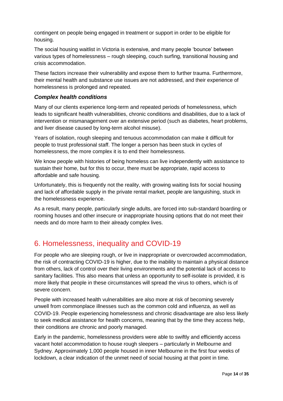contingent on people being engaged in treatment or support in order to be eligible for housing.

The social housing waitlist in Victoria is extensive, and many people 'bounce' between various types of homelessness – rough sleeping, couch surfing, transitional housing and crisis accommodation.

These factors increase their vulnerability and expose them to further trauma. Furthermore, their mental health and substance use issues are not addressed, and their experience of homelessness is prolonged and repeated.

#### *Complex health conditions*

Many of our clients experience long-term and repeated periods of homelessness, which leads to significant health vulnerabilities, chronic conditions and disabilities, due to a lack of intervention or mismanagement over an extensive period (such as diabetes, heart problems, and liver disease caused by long-term alcohol misuse).

Years of isolation, rough sleeping and tenuous accommodation can make it difficult for people to trust professional staff. The longer a person has been stuck in cycles of homelessness, the more complex it is to end their homelessness.

We know people with histories of being homeless can live independently with assistance to sustain their home, but for this to occur, there must be appropriate, rapid access to affordable and safe housing.

Unfortunately, this is frequently not the reality, with growing waiting lists for social housing and lack of affordable supply in the private rental market, people are languishing, stuck in the homelessness experience.

As a result, many people, particularly single adults, are forced into sub-standard boarding or rooming houses and other insecure or inappropriate housing options that do not meet their needs and do more harm to their already complex lives.

# <span id="page-13-0"></span>6. Homelessness, inequality and COVID-19

For people who are sleeping rough, or live in inappropriate or overcrowded accommodation, the risk of contracting COVID-19 is higher, due to the inability to maintain a physical distance from others, lack of control over their living environments and the potential lack of access to sanitary facilities. This also means that unless an opportunity to self-isolate is provided, it is more likely that people in these circumstances will spread the virus to others, which is of severe concern.

People with increased health vulnerabilities are also more at risk of becoming severely unwell from commonplace illnesses such as the common cold and influenza, as well as COVID-19. People experiencing homelessness and chronic disadvantage are also less likely to seek medical assistance for health concerns, meaning that by the time they access help, their conditions are chronic and poorly managed.

Early in the pandemic, homelessness providers were able to swiftly and efficiently access vacant hotel accommodation to house rough sleepers – particularly in Melbourne and Sydney. Approximately 1,000 people housed in inner Melbourne in the first four weeks of lockdown, a clear indication of the unmet need of social housing at that point in time.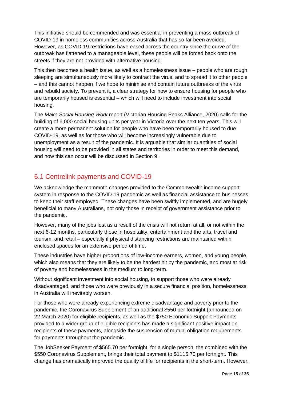This initiative should be commended and was essential in preventing a mass outbreak of COVID-19 in homeless communities across Australia that has so far been avoided. However, as COVID-19 restrictions have eased across the country since the curve of the outbreak has flattened to a manageable level, these people will be forced back onto the streets if they are not provided with alternative housing.

This then becomes a health issue, as well as a homelessness issue – people who are rough sleeping are simultaneously more likely to contract the virus, and to spread it to other people – and this cannot happen if we hope to minimise and contain future outbreaks of the virus and rebuild society. To prevent it, a clear strategy for how to ensure housing for people who are temporarily housed is essential – which will need to include investment into social housing.

The *Make Social Housing Work* report (Victorian Housing Peaks Alliance, 2020) calls for the building of 6,000 social housing units per year in Victoria over the next ten years. This will create a more permanent solution for people who have been temporarily housed to due COVID-19, as well as for those who will become increasingly vulnerable due to unemployment as a result of the pandemic. It is arguable that similar quantities of social housing will need to be provided in all states and territories in order to meet this demand, and how this can occur will be discussed in Section 9.

## <span id="page-14-0"></span>6.1 Centrelink payments and COVID-19

We acknowledge the mammoth changes provided to the Commonwealth income support system in response to the COVID-19 pandemic as well as financial assistance to businesses to keep their staff employed. These changes have been swiftly implemented, and are hugely beneficial to many Australians, not only those in receipt of government assistance prior to the pandemic.

However, many of the jobs lost as a result of the crisis will not return at all, or not within the next 6-12 months, particularly those in hospitality, entertainment and the arts, travel and tourism, and retail – especially if physical distancing restrictions are maintained within enclosed spaces for an extensive period of time.

These industries have higher proportions of low-income earners, women, and young people, which also means that they are likely to be the hardest hit by the pandemic, and most at risk of poverty and homelessness in the medium to long-term.

Without significant investment into social housing, to support those who were already disadvantaged, and those who were previously in a secure financial position, homelessness in Australia will inevitably worsen.

For those who were already experiencing extreme disadvantage and poverty prior to the pandemic, the Coronavirus Supplement of an additional \$550 per fortnight (announced on 22 March 2020) for eligible recipients, as well as the \$750 Economic Support Payments provided to a wider group of eligible recipients has made a significant positive impact on recipients of these payments, alongside the suspension of mutual obligation requirements for payments throughout the pandemic.

The JobSeeker Payment of \$565.70 per fortnight, for a single person, the combined with the \$550 Coronavirus Supplement, brings their total payment to \$1115.70 per fortnight. This change has dramatically improved the quality of life for recipients in the short-term. However,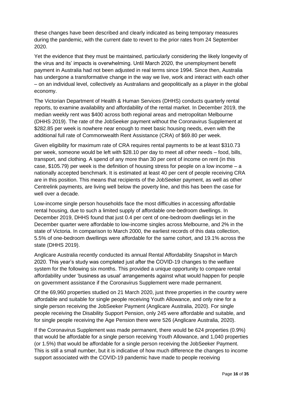these changes have been described and clearly indicated as being temporary measures during the pandemic, with the current date to revert to the prior rates from 24 September 2020.

Yet the evidence that they must be maintained, particularly considering the likely longevity of the virus and its' impacts is overwhelming. Until March 2020, the unemployment benefit payment in Australia had not been adjusted in real terms since 1994. Since then, Australia has undergone a transformative change in the way we live, work and interact with each other – on an individual level, collectively as Australians and geopolitically as a player in the global economy.

The Victorian Department of Health & Human Services (DHHS) conducts quarterly rental reports, to examine availability and affordability of the rental market. In December 2019, the median weekly rent was \$400 across both regional areas and metropolitan Melbourne (DHHS 2019). The rate of the JobSeeker payment without the Coronavirus Supplement at \$282.85 per week is nowhere near enough to meet basic housing needs, even with the additional full rate of Commonwealth Rent Assistance (CRA) of \$69.80 per week.

Given eligibility for maximum rate of CRA requires rental payments to be at least \$310.73 per week, someone would be left with \$28.10 per day to meet all other needs – food, bills, transport, and clothing. A spend of any more than 30 per cent of income on rent (in this case,  $$105.79$ ) per week is the definition of housing stress for people on a low income – a nationally accepted benchmark. It is estimated at least 40 per cent of people receiving CRA are in this position. This means that recipients of the JobSeeker payment, as well as other Centrelink payments, are living well below the poverty line, and this has been the case for well over a decade.

Low-income single person households face the most difficulties in accessing affordable rental housing, due to such a limited supply of affordable one-bedroom dwellings. In December 2019, DHHS found that just 0.4 per cent of one-bedroom dwellings let in the December quarter were affordable to low-income singles across Melbourne, and 2% in the state of Victoria. In comparison to March 2000, the earliest records of this data collection, 5.5% of one-bedroom dwellings were affordable for the same cohort, and 19.1% across the state (DHHS 2019).

Anglicare Australia recently conducted its annual Rental Affordability Snapshot in March 2020. This year's study was completed just after the COVID-19 changes to the welfare system for the following six months. This provided a unique opportunity to compare rental affordability under 'business as usual' arrangements against what would happen for people on government assistance if the Coronavirus Supplement were made permanent.

Of the 69,960 properties studied on 21 March 2020, just three properties in the country were affordable and suitable for single people receiving Youth Allowance, and only nine for a single person receiving the JobSeeker Payment (Anglicare Australia, 2020). For single people receiving the Disability Support Pension, only 245 were affordable and suitable, and for single people receiving the Age Pension there were 526 (Anglicare Australia, 2020).

If the Coronavirus Supplement was made permanent, there would be 624 properties (0.9%) that would be affordable for a single person receiving Youth Allowance, and 1,040 properties (or 1.5%) that would be affordable for a single person receiving the JobSeeker Payment. This is still a small number, but it is indicative of how much difference the changes to income support associated with the COVID-19 pandemic have made to people receiving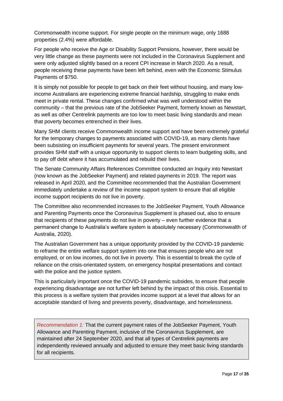Commonwealth income support. For single people on the minimum wage, only 1688 properties (2.4%) were affordable.

For people who receive the Age or Disability Support Pensions, however, there would be very little change as these payments were not included in the Coronavirus Supplement and were only adjusted slightly based on a recent CPI increase in March 2020. As a result, people receiving these payments have been left behind, even with the Economic Stimulus Payments of \$750.

It is simply not possible for people to get back on their feet without housing, and many lowincome Australians are experiencing extreme financial hardship, struggling to make ends meet in private rental. These changes confirmed what was well understood within the community – that the previous rate of the JobSeeker Payment, formerly known as Newstart, as well as other Centrelink payments are too low to meet basic living standards and mean that poverty becomes entrenched in their lives.

Many SHM clients receive Commonwealth income support and have been extremely grateful for the temporary changes to payments associated with COVID-19, as many clients have been subsisting on insufficient payments for several years. The present environment provides SHM staff with a unique opportunity to support clients to learn budgeting skills, and to pay off debt where it has accumulated and rebuild their lives.

The Senate Community Affairs References Committee conducted an Inquiry into Newstart (now known as the JobSeeker Payment) and related payments in 2019. The report was released in April 2020, and the Committee recommended that the Australian Government immediately undertake a review of the income support system to ensure that all eligible income support recipients do not live in poverty.

The Committee also recommended increases to the JobSeeker Payment, Youth Allowance and Parenting Payments once the Coronavirus Supplement is phased out, also to ensure that recipients of these payments do not live in poverty – even further evidence that a permanent change to Australia's welfare system is absolutely necessary (Commonwealth of Australia, 2020).

The Australian Government has a unique opportunity provided by the COVID-19 pandemic to reframe the entire welfare support system into one that ensures people who are not employed, or on low incomes, do not live in poverty. This is essential to break the cycle of reliance on the crisis-orientated system, on emergency hospital presentations and contact with the police and the justice system.

This is particularly important once the COVID-19 pandemic subsides, to ensure that people experiencing disadvantage are not further left behind by the impact of this crisis. Essential to this process is a welfare system that provides income support at a level that allows for an acceptable standard of living and prevents poverty, disadvantage, and homelessness.

*Recommendation 1:* That the current payment rates of the JobSeeker Payment, Youth Allowance and Parenting Payment, inclusive of the Coronavirus Supplement, are maintained after 24 September 2020, and that all types of Centrelink payments are independently reviewed annually and adjusted to ensure they meet basic living standards for all recipients.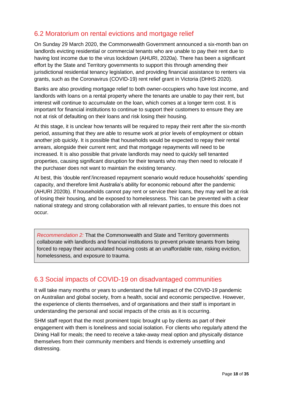## <span id="page-17-0"></span>6.2 Moratorium on rental evictions and mortgage relief

On Sunday 29 March 2020, the Commonwealth Government announced a six-month ban on landlords evicting residential or commercial tenants who are unable to pay their rent due to having lost income due to the virus lockdown (AHURI, 2020a). There has been a significant effort by the State and Territory governments to support this through amending their jurisdictional residential tenancy legislation, and providing financial assistance to renters via grants, such as the Coronavirus (COVID-19) rent relief grant in Victoria (DHHS 2020).

Banks are also providing mortgage relief to both owner-occupiers who have lost income, and landlords with loans on a rental property where the tenants are unable to pay their rent, but interest will continue to accumulate on the loan, which comes at a longer term cost. It is important for financial institutions to continue to support their customers to ensure they are not at risk of defaulting on their loans and risk losing their housing.

At this stage, it is unclear how tenants will be required to repay their rent after the six-month period, assuming that they are able to resume work at prior levels of employment or obtain another job quickly. It is possible that households would be expected to repay their rental arrears, alongside their current rent; and that mortgage repayments will need to be increased. It is also possible that private landlords may need to quickly sell tenanted properties, causing significant disruption for their tenants who may then need to relocate if the purchaser does not want to maintain the existing tenancy.

At best, this 'double rent'/increased repayment scenario would reduce households' spending capacity, and therefore limit Australia's ability for economic rebound after the pandemic (AHURI 2020b). If households cannot pay rent or service their loans, they may well be at risk of losing their housing, and be exposed to homelessness. This can be prevented with a clear national strategy and strong collaboration with all relevant parties, to ensure this does not occur.

*Recommendation 2:* That the Commonwealth and State and Territory governments collaborate with landlords and financial institutions to prevent private tenants from being forced to repay their accumulated housing costs at an unaffordable rate, risking eviction, homelessness, and exposure to trauma.

## <span id="page-17-1"></span>6.3 Social impacts of COVID-19 on disadvantaged communities

It will take many months or years to understand the full impact of the COVID-19 pandemic on Australian and global society, from a health, social and economic perspective. However, the experience of clients themselves, and of organisations and their staff is important in understanding the personal and social impacts of the crisis as it is occurring.

SHM staff report that the most prominent topic brought up by clients as part of their engagement with them is loneliness and social isolation. For clients who regularly attend the Dining Hall for meals; the need to receive a take-away meal option and physically distance themselves from their community members and friends is extremely unsettling and distressing.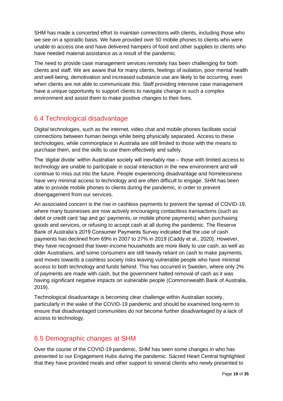SHM has made a concerted effort to maintain connections with clients, including those who we see on a sporadic basis. We have provided over 50 mobile phones to clients who were unable to access one and have delivered hampers of food and other supplies to clients who have needed material assistance as a result of the pandemic.

The need to provide case management services remotely has been challenging for both clients and staff. We are aware that for many clients, feelings of isolation, poor mental health and well-being, demotivation and increased substance use are likely to be occurring, even when clients are not able to communicate this. Staff providing intensive case management have a unique opportunity to support clients to navigate change in such a complex environment and assist them to make positive changes to their lives.

## <span id="page-18-0"></span>6.4 Technological disadvantage

Digital technologies, such as the internet, video chat and mobile phones facilitate social connections between human beings while being physically separated. Access to these technologies, while commonplace in Australia are still limited to those with the means to purchase them, and the skills to use them effectively and safely.

The 'digital divide' within Australian society will inevitably rise – those with limited access to technology are unable to participate in social interaction in the new environment and will continue to miss out into the future. People experiencing disadvantage and homelessness have very minimal access to technology and are often difficult to engage. SHM has been able to provide mobile phones to clients during the pandemic, in order to prevent disengagement from our services.

An associated concern is the rise in cashless payments to prevent the spread of COVID-19, where many businesses are now actively encouraging contactless transactions (such as debit or credit card 'tap and go' payments, or mobile phone payments) when purchasing goods and services, or refusing to accept cash at all during the pandemic. The Reserve Bank of Australia's 2019 Consumer Payments Survey indicated that the use of cash payments has declined from 69% in 2007 to 27% in 2019 (Caddy et al., 2020). However, they have recognised that lower-income households are more likely to use cash, as well as older Australians, and some consumers are still heavily reliant on cash to make payments; and moves towards a cashless society risks leaving vulnerable people who have minimal access to both technology and funds behind. This has occurred in Sweden, where only 2% of payments are made with cash, but the government halted removal of cash as it was having significant negative impacts on vulnerable people (Commonwealth Bank of Australia, 2019).

Technological disadvantage is becoming clear challenge within Australian society, particularly in the wake of the COVID-19 pandemic and should be examined long-term to ensure that disadvantaged communities do not become further disadvantaged by a lack of access to technology.

## <span id="page-18-1"></span>6.5 Demographic changes at SHM

Over the course of the COVID-19 pandemic, SHM has seen some changes in who has presented to our Engagement Hubs during the pandemic. Sacred Heart Central highlighted that they have provided meals and other support to several clients who newly presented to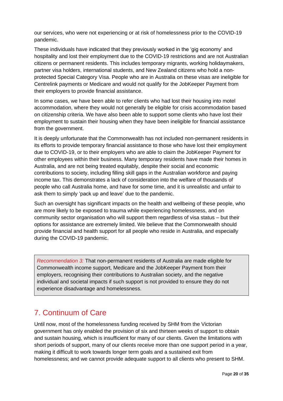our services, who were not experiencing or at risk of homelessness prior to the COVID-19 pandemic.

These individuals have indicated that they previously worked in the 'gig economy' and hospitality and lost their employment due to the COVID-19 restrictions and are not Australian citizens or permanent residents. This includes temporary migrants, working holidaymakers, partner visa holders, international students, and New Zealand citizens who hold a nonprotected Special Category Visa. People who are in Australia on these visas are ineligible for Centrelink payments or Medicare and would not qualify for the JobKeeper Payment from their employers to provide financial assistance.

In some cases, we have been able to refer clients who had lost their housing into motel accommodation, where they would not generally be eligible for crisis accommodation based on citizenship criteria. We have also been able to support some clients who have lost their employment to sustain their housing when they have been ineligible for financial assistance from the government.

It is deeply unfortunate that the Commonwealth has not included non-permanent residents in its efforts to provide temporary financial assistance to those who have lost their employment due to COVID-19, or to their employers who are able to claim the JobKeeper Payment for other employees within their business. Many temporary residents have made their homes in Australia, and are not being treated equitably, despite their social and economic contributions to society, including filling skill gaps in the Australian workforce and paying income tax. This demonstrates a lack of consideration into the welfare of thousands of people who call Australia home, and have for some time, and it is unrealistic and unfair to ask them to simply 'pack up and leave' due to the pandemic.

Such an oversight has significant impacts on the health and wellbeing of these people, who are more likely to be exposed to trauma while experiencing homelessness, and on community sector organisation who will support them regardless of visa status – but their options for assistance are extremely limited. We believe that the Commonwealth should provide financial and health support for all people who reside in Australia, and especially during the COVID-19 pandemic.

*Recommendation 3:* That non-permanent residents of Australia are made eligible for Commonwealth income support, Medicare and the JobKeeper Payment from their employers, recognising their contributions to Australian society, and the negative individual and societal impacts if such support is not provided to ensure they do not experience disadvantage and homelessness.

# <span id="page-19-0"></span>7. Continuum of Care

Until now, most of the homelessness funding received by SHM from the Victorian government has only enabled the provision of six and thirteen weeks of support to obtain and sustain housing, which is insufficient for many of our clients. Given the limitations with short periods of support, many of our clients receive more than one support period in a year, making it difficult to work towards longer term goals and a sustained exit from homelessness; and we cannot provide adequate support to all clients who present to SHM.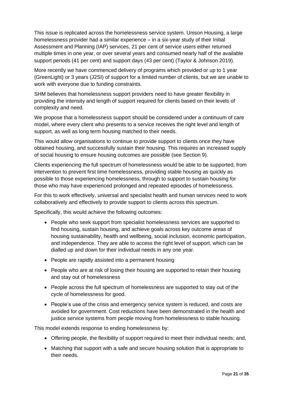This issue is replicated across the homelessness service system. Unison Housing, a large homelessness provider had a similar experience – in a six-year study of their Initial Assessment and Planning (IAP) services, 21 per cent of service users either returned multiple times in one year, or over several years and consumed nearly half of the available support periods (41 per cent) and support days (43 per cent) (Taylor & Johnson 2019).

More recently we have commenced delivery of programs which provided or up to 1 year (GreenLight) or 3 years (J2SI) of support for a limited number of clients, but we are unable to work with everyone due to funding constraints.

SHM believes that homelessness support providers need to have greater flexibility in providing the intensity and length of support required for clients based on their levels of complexity and need.

We propose that a homelessness support should be considered under a continuum of care model, where every client who presents to a service receives the right level and length of support, as well as long term housing matched to their needs.

This would allow organisations to continue to provide support to clients once they have obtained housing, and successfully sustain their housing. This requires an increased supply of social housing to ensure housing outcomes are possible (see Section 9).

Clients experiencing the full spectrum of homelessness would be able to be supported, from intervention to prevent first time homelessness, providing stable housing as quickly as possible to those experiencing homelessness, through to support to sustain housing for those who may have experienced prolonged and repeated episodes of homelessness.

For this to work effectively, universal and specialist health and human services need to work collaboratively and effectively to provide support to clients across this spectrum.

Specifically, this would achieve the following outcomes:

- People who seek support from specialist homelessness services are supported to find housing, sustain housing, and achieve goals across key outcome areas of housing sustainability, health and wellbeing, social inclusion, economic participation, and independence. They are able to access the right level of support, which can be dialled up and down for their individual needs in any one year.
- People are rapidly assisted into a permanent housing
- People who are at risk of losing their housing are supported to retain their housing and stay out of homelessness
- People across the full spectrum of homelessness are supported to stay out of the cycle of homelessness for good.
- People's use of the crisis and emergency service system is reduced, and costs are avoided for government. Cost reductions have been demonstrated in the health and justice service systems from people moving from homelessness to stable housing.

This model extends response to ending homelessness by:

- Offering people, the flexibility of support required to meet their individual needs; and,
- Matching that support with a safe and secure housing solution that is appropriate to their needs.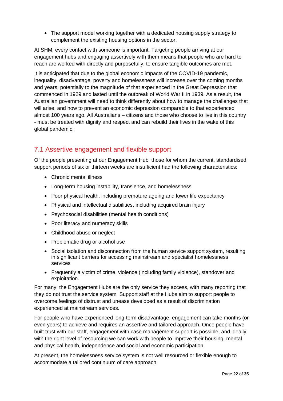• The support model working together with a dedicated housing supply strategy to complement the existing housing options in the sector.

At SHM, every contact with someone is important. Targeting people arriving at our engagement hubs and engaging assertively with them means that people who are hard to reach are worked with directly and purposefully, to ensure tangible outcomes are met.

It is anticipated that due to the global economic impacts of the COVID-19 pandemic, inequality, disadvantage, poverty and homelessness will increase over the coming months and years; potentially to the magnitude of that experienced in the Great Depression that commenced in 1929 and lasted until the outbreak of World War II in 1939. As a result, the Australian government will need to think differently about how to manage the challenges that will arise, and how to prevent an economic depression comparable to that experienced almost 100 years ago. All Australians – citizens and those who choose to live in this country - must be treated with dignity and respect and can rebuild their lives in the wake of this global pandemic.

## <span id="page-21-0"></span>7.1 Assertive engagement and flexible support

Of the people presenting at our Engagement Hub, those for whom the current, standardised support periods of six or thirteen weeks are insufficient had the following characteristics:

- Chronic mental illness
- Long-term housing instability, transience, and homelessness
- Poor physical health, including premature ageing and lower life expectancy
- Physical and intellectual disabilities, including acquired brain injury
- Psychosocial disabilities (mental health conditions)
- Poor literacy and numeracy skills
- Childhood abuse or neglect
- Problematic drug or alcohol use
- Social isolation and disconnection from the human service support system, resulting in significant barriers for accessing mainstream and specialist homelessness services
- Frequently a victim of crime, violence (including family violence), standover and exploitation.

For many, the Engagement Hubs are the only service they access, with many reporting that they do not trust the service system. Support staff at the Hubs aim to support people to overcome feelings of distrust and unease developed as a result of discrimination experienced at mainstream services.

For people who have experienced long-term disadvantage, engagement can take months (or even years) to achieve and requires an assertive and tailored approach. Once people have built trust with our staff, engagement with case management support is possible, and ideally with the right level of resourcing we can work with people to improve their housing, mental and physical health, independence and social and economic participation.

At present, the homelessness service system is not well resourced or flexible enough to accommodate a tailored continuum of care approach.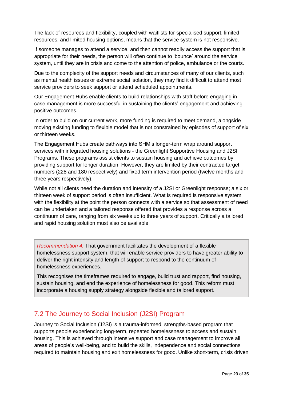The lack of resources and flexibility, coupled with waitlists for specialised support, limited resources, and limited housing options, means that the service system is not responsive.

If someone manages to attend a service, and then cannot readily access the support that is appropriate for their needs, the person will often continue to 'bounce' around the service system, until they are in crisis and come to the attention of police, ambulance or the courts.

Due to the complexity of the support needs and circumstances of many of our clients, such as mental health issues or extreme social isolation, they may find it difficult to attend most service providers to seek support or attend scheduled appointments.

Our Engagement Hubs enable clients to build relationships with staff before engaging in case management is more successful in sustaining the clients' engagement and achieving positive outcomes.

In order to build on our current work, more funding is required to meet demand, alongside moving existing funding to flexible model that is not constrained by episodes of support of six or thirteen weeks.

The Engagement Hubs create pathways into SHM's longer-term wrap around support services with integrated housing solutions - the Greenlight Supportive Housing and J2SI Programs. These programs assist clients to sustain housing and achieve outcomes by providing support for longer duration. However, they are limited by their contracted target numbers (228 and 180 respectively) and fixed term intervention period (twelve months and three years respectively).

While not all clients need the duration and intensity of a J2SI or Greenlight response; a six or thirteen week of support period is often insufficient. What is required is responsive system with the flexibility at the point the person connects with a service so that assessment of need can be undertaken and a tailored response offered that provides a response across a continuum of care, ranging from six weeks up to three years of support. Critically a tailored and rapid housing solution must also be available.

*Recommendation 4:* That government facilitates the development of a flexible homelessness support system, that will enable service providers to have greater ability to deliver the right intensity and length of support to respond to the continuum of homelessness experiences.

This recognises the timeframes required to engage, build trust and rapport, find housing, sustain housing, and end the experience of homelessness for good. This reform must incorporate a housing supply strategy alongside flexible and tailored support.

## <span id="page-22-0"></span>7.2 The Journey to Social Inclusion (J2SI) Program

Journey to Social Inclusion (J2SI) is a trauma-informed, strengths-based program that supports people experiencing long-term, repeated homelessness to access and sustain housing. This is achieved through intensive support and case management to improve all areas of people's well-being, and to build the skills, independence and social connections required to maintain housing and exit homelessness for good. Unlike short-term, crisis driven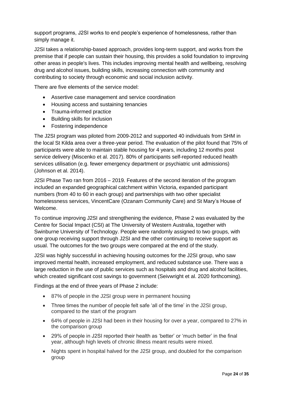support programs, J2SI works to end people's experience of homelessness, rather than simply manage it.

J2SI takes a relationship-based approach, provides long-term support, and works from the premise that if people can sustain their housing, this provides a solid foundation to improving other areas in people's lives. This includes improving mental health and wellbeing, resolving drug and alcohol issues, building skills, increasing connection with community and contributing to society through economic and social inclusion activity.

There are five elements of the service model:

- Assertive case management and service coordination
- Housing access and sustaining tenancies
- Trauma-informed practice
- Building skills for inclusion
- Fostering independence

The J2SI program was piloted from 2009-2012 and supported 40 individuals from SHM in the local St Kilda area over a three-year period. The evaluation of the pilot found that 75% of participants were able to maintain stable housing for 4 years, including 12 months post service delivery (Miscenko et al. 2017). 80% of participants self-reported reduced health services utilisation (e.g. fewer emergency department or psychiatric unit admissions) (Johnson et al. 2014).

J2SI Phase Two ran from 2016 – 2019. Features of the second iteration of the program included an expanded geographical catchment within Victoria, expanded participant numbers (from 40 to 60 in each group) and partnerships with two other specialist homelessness services, VincentCare (Ozanam Community Care) and St Mary's House of Welcome.

To continue improving J2SI and strengthening the evidence, Phase 2 was evaluated by the Centre for Social Impact (CSI) at The University of Western Australia, together with Swinburne University of Technology. People were randomly assigned to two groups, with one group receiving support through J2SI and the other continuing to receive support as usual. The outcomes for the two groups were compared at the end of the study.

J2SI was highly successful in achieving housing outcomes for the J2SI group, who saw improved mental health, increased employment, and reduced substance use. There was a large reduction in the use of public services such as hospitals and drug and alcohol facilities, which created significant cost savings to government (Seivwright et al. 2020 forthcoming).

Findings at the end of three years of Phase 2 include:

- 87% of people in the J2SI group were in permanent housing
- Three times the number of people felt safe 'all of the time' in the J2SI group, compared to the start of the program
- 64% of people in J2SI had been in their housing for over a year, compared to 27% in the comparison group
- 29% of people in J2SI reported their health as 'better' or 'much better' in the final year, although high levels of chronic illness meant results were mixed.
- Nights spent in hospital halved for the J2SI group, and doubled for the comparison group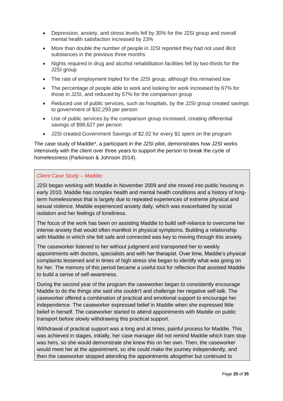- Depression, anxiety, and stress levels fell by 30% for the J2SI group and overall mental health satisfaction increased by 23%
- More than double the number of people in J2SI reported they had not used illicit substances in the previous three months
- Nights required in drug and alcohol rehabilitation facilities fell by two-thirds for the J2SI group
- The rate of employment tripled for the J2SI group, although this remained low
- The percentage of people able to work and looking for work increased by 67% for those in J2SI, and reduced by 57% for the comparison group
- Reduced use of public services, such as hospitals, by the J2SI group created savings to government of \$32,293 per person
- Use of public services by the comparison group increased, creating differential savings of \$98,627 per person
- J2SI created Government Savings of \$2.02 for every \$1 spent on the program

The case study of Maddie\*, a participant in the J2SI pilot, demonstrates how J2SI works intensively with the client over three years to support the person to break the cycle of homelessness (Parkinson & Johnson 2014).

#### *Client Case Study – Maddie:*

J2SI began working with Maddie in November 2009 and she moved into public housing in early 2010. Maddie has complex health and mental health conditions and a history of longterm homelessness that is largely due to repeated experiences of extreme physical and sexual violence. Maddie experienced anxiety daily, which was exacerbated by social isolation and her feelings of loneliness.

The focus of the work has been on assisting Maddie to build self-reliance to overcome her intense anxiety that would often manifest in physical symptoms. Building a relationship with Maddie in which she felt safe and connected was key to moving through this anxiety.

The caseworker listened to her without judgment and transported her to weekly appointments with doctors, specialists and with her therapist. Over time, Maddie's physical complaints lessened and in times of high stress she began to identify what was going on for her. The memory of this period became a useful tool for reflection that assisted Maddie to build a sense of self-awareness.

During the second year of the program the caseworker began to consistently encourage Maddie to do the things she said she couldn't and challenge her negative self-talk. The caseworker offered a combination of practical and emotional support to encourage her independence. The caseworker expressed belief in Maddie when she expressed little belief in herself. The caseworker started to attend appointments with Maddie on public transport before slowly withdrawing this practical support.

Withdrawal of practical support was a long and at times, painful process for Maddie. This was achieved in stages, initially, her case manager did not remind Maddie which tram stop was hers, so she would demonstrate she knew this on her own. Then, the caseworker would meet her at the appointment, so she could make the journey independently, and then the caseworker stopped attending the appointments altogether but continued to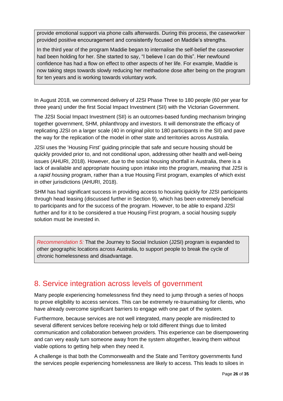provide emotional support via phone calls afterwards. During this process, the caseworker provided positive encouragement and consistently focused on Maddie's strengths.

In the third year of the program Maddie began to internalise the self-belief the caseworker had been holding for her. She started to say, "I believe I can do this". Her newfound confidence has had a flow on effect to other aspects of her life. For example, Maddie is now taking steps towards slowly reducing her methadone dose after being on the program for ten years and is working towards voluntary work.

In August 2018, we commenced delivery of J2SI Phase Three to 180 people (60 per year for three years) under the first Social Impact Investment (SII) with the Victorian Government.

The J2SI Social Impact Investment (SII) is an outcomes-based funding mechanism bringing together government, SHM, philanthropy and investors. It will demonstrate the efficacy of replicating J2SI on a larger scale (40 in original pilot to 180 participants in the SII) and pave the way for the replication of the model in other state and territories across Australia.

J2SI uses the 'Housing First' guiding principle that safe and secure housing should be quickly provided prior to, and not conditional upon, addressing other health and well-being issues (AHURI, 2018). However, due to the social housing shortfall in Australia, there is a lack of available and appropriate housing upon intake into the program, meaning that J2SI is a *rapid housing* program, rather than a true Housing First program, examples of which exist in other jurisdictions (AHURI, 2018).

SHM has had significant success in providing access to housing quickly for J2SI participants through head leasing (discussed further in Section 9), which has been extremely beneficial to participants and for the success of the program. However, to be able to expand J2SI further and for it to be considered a true Housing First program, a social housing supply solution must be invested in.

*Recommendation 5:* That the Journey to Social Inclusion (J2SI) program is expanded to other geographic locations across Australia, to support people to break the cycle of chronic homelessness and disadvantage.

# <span id="page-25-0"></span>8. Service integration across levels of government

Many people experiencing homelessness find they need to jump through a series of hoops to prove eligibility to access services. This can be extremely re-traumatising for clients, who have already overcome significant barriers to engage with one part of the system.

Furthermore, because services are not well integrated, many people are misdirected to several different services before receiving help or told different things due to limited communication and collaboration between providers. This experience can be disempowering and can very easily turn someone away from the system altogether, leaving them without viable options to getting help when they need it.

A challenge is that both the Commonwealth and the State and Territory governments fund the services people experiencing homelessness are likely to access. This leads to siloes in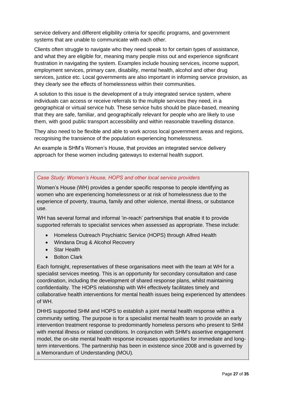service delivery and different eligibility criteria for specific programs, and government systems that are unable to communicate with each other.

Clients often struggle to navigate who they need speak to for certain types of assistance, and what they are eligible for, meaning many people miss out and experience significant frustration in navigating the system. Examples include housing services, income support, employment services, primary care, disability, mental health, alcohol and other drug services, justice etc. Local governments are also important in informing service provision, as they clearly see the effects of homelessness within their communities.

A solution to this issue is the development of a truly integrated service system, where individuals can access or receive referrals to the multiple services they need, in a geographical or virtual service hub. These service hubs should be place-based, meaning that they are safe, familiar, and geographically relevant for people who are likely to use them, with good public transport accessibility and within reasonable travelling distance.

They also need to be flexible and able to work across local government areas and regions, recognising the transience of the population experiencing homelessness.

An example is SHM's Women's House, that provides an integrated service delivery approach for these women including gateways to external health support.

#### *Case Study: Women's House, HOPS and other local service providers*

Women's House (WH) provides a gender specific response to people identifying as women who are experiencing homelessness or at risk of homelessness due to the experience of poverty, trauma, family and other violence, mental illness, or substance use.

WH has several formal and informal 'in-reach' partnerships that enable it to provide supported referrals to specialist services when assessed as appropriate. These include:

- Homeless Outreach Psychiatric Service (HOPS) through Alfred Health
- Windana Drug & Alcohol Recovery
- Star Health
- Bolton Clark

Each fortnight, representatives of these organisations meet with the team at WH for a specialist services meeting. This is an opportunity for secondary consultation and case coordination, including the development of shared response plans, whilst maintaining confidentiality. The HOPS relationship with WH effectively facilitates timely and collaborative health interventions for mental health issues being experienced by attendees of WH.

DHHS supported SHM and HOPS to establish a joint mental health response within a community setting. The purpose is for a specialist mental health team to provide an early intervention treatment response to predominantly homeless persons who present to SHM with mental illness or related conditions. In conjunction with SHM's assertive engagement model, the on-site mental health response increases opportunities for immediate and longterm interventions. The partnership has been in existence since 2008 and is governed by a Memorandum of Understanding (MOU).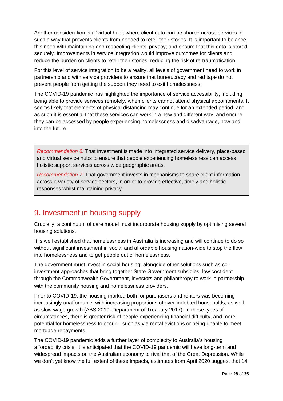Another consideration is a 'virtual hub', where client data can be shared across services in such a way that prevents clients from needed to retell their stories. It is important to balance this need with maintaining and respecting clients' privacy; and ensure that this data is stored securely. Improvements in service integration would improve outcomes for clients and reduce the burden on clients to retell their stories, reducing the risk of re-traumatisation.

For this level of service integration to be a reality, all levels of government need to work in partnership and with service providers to ensure that bureaucracy and red tape do not prevent people from getting the support they need to exit homelessness.

The COVID-19 pandemic has highlighted the importance of service accessibility, including being able to provide services remotely, when clients cannot attend physical appointments. It seems likely that elements of physical distancing may continue for an extended period, and as such it is essential that these services can work in a new and different way, and ensure they can be accessed by people experiencing homelessness and disadvantage, now and into the future.

*Recommendation 6:* That investment is made into integrated service delivery, place-based and virtual service hubs to ensure that people experiencing homelessness can access holistic support services across wide geographic areas.

*Recommendation 7:* That government invests in mechanisms to share client information across a variety of service sectors, in order to provide effective, timely and holistic responses whilst maintaining privacy.

# <span id="page-27-0"></span>9. Investment in housing supply

Crucially, a continuum of care model must incorporate housing supply by optimising several housing solutions.

It is well established that homelessness in Australia is increasing and will continue to do so without significant investment in social and affordable housing nation-wide to stop the flow into homelessness and to get people out of homelessness.

The government must invest in social housing, alongside other solutions such as coinvestment approaches that bring together State Government subsidies, low cost debt through the Commonwealth Government, investors and philanthropy to work in partnership with the community housing and homelessness providers.

Prior to COVID-19, the housing market, both for purchasers and renters was becoming increasingly unaffordable, with increasing proportions of over-indebted households; as well as slow wage growth (ABS 2019; Department of Treasury 2017). In these types of circumstances, there is greater risk of people experiencing financial difficulty, and more potential for homelessness to occur – such as via rental evictions or being unable to meet mortgage repayments.

The COVID-19 pandemic adds a further layer of complexity to Australia's housing affordability crisis. It is anticipated that the COVID-19 pandemic will have long-term and widespread impacts on the Australian economy to rival that of the Great Depression. While we don't yet know the full extent of these impacts, estimates from April 2020 suggest that 14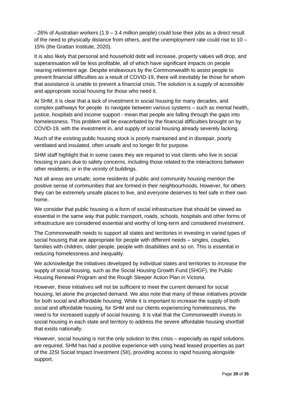- 26% of Australian workers (1.9 – 3.4 million people) could lose their jobs as a direct result of the need to physically distance from others, and the unemployment rate could rise to 10 – 15% (the Grattan Institute, 2020).

It is also likely that personal and household debt will increase, property values will drop, and superannuation will be less profitable, all of which have significant impacts on people nearing retirement age. Despite endeavours by the Commonwealth to assist people to prevent financial difficulties as a result of COVID-19, there will inevitably be those for whom that assistance is unable to prevent a financial crisis. The solution is a supply of accessible and appropriate social housing for those who need it.

At SHM, it is clear that a lack of investment in social housing for many decades, and complex pathways for people to navigate between various systems – such as mental health, justice, hospitals and income support - mean that people are falling through the gaps into homelessness. This problem will be exacerbated by the financial difficulties brought on by COVID-19, with the investment in, and supply of social housing already severely lacking.

Much of the existing public housing stock is poorly maintained and in disrepair, poorly ventilated and insulated, often unsafe and no longer fit for purpose.

SHM staff highlight that in some cases they are required to visit clients who live in social housing in pairs due to safety concerns, including those related to the interactions between other residents, or in the vicinity of buildings.

Not all areas are unsafe; some residents of public and community housing mention the positive sense of communities that are formed in their neighbourhoods. However, for others they can be extremely unsafe places to live, and everyone deserves to feel safe in their own home.

We consider that public housing is a form of social infrastructure that should be viewed as essential in the same way that public transport, roads, schools, hospitals and other forms of infrastructure are considered essential and worthy of long-term and considered investment.

The Commonwealth needs to support all states and territories in investing in varied types of social housing that are appropriate for people with different needs – singles, couples, families with children, older people, people with disabilities and so on. This is essential in reducing homelessness and inequality.

We acknowledge the initiatives developed by individual states and territories to increase the supply of social housing, such as the Social Housing Growth Fund (SHGF), the Public Housing Renewal Program and the Rough Sleeper Action Plan in Victoria.

However, these initiatives will not be sufficient to meet the current demand for social housing, let alone the projected demand. We also note that many of these initiatives provide for both social and affordable housing. While it is important to increase the supply of both social and affordable housing, for SHM and our clients experiencing homelessness, the need is for increased supply of social housing. It is vital that the Commonwealth invests in social housing in each state and territory to address the severe affordable housing shortfall that exists nationally.

However, social housing is not the only solution to this crisis – especially as rapid solutions are required. SHM has had a positive experience with using head leased properties as part of the J2SI Social Impact Investment (SII), providing access to rapid housing alongside support.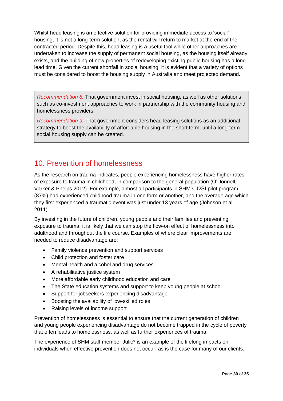Whilst head leasing is an effective solution for providing immediate access to 'social' housing, it is not a long-term solution, as the rental will return to market at the end of the contracted period. Despite this, head leasing is a useful tool while other approaches are undertaken to increase the supply of permanent social housing, as the housing itself already exists, and the building of new properties of redeveloping existing public housing has a long lead time. Given the current shortfall in social housing, it is evident that a variety of options must be considered to boost the housing supply in Australia and meet projected demand.

*Recommendation 8:* That government invest in social housing, as well as other solutions such as co-investment approaches to work in partnership with the community housing and homelessness providers.

*Recommendation 9:* That government considers head leasing solutions as an additional strategy to boost the availability of affordable housing in the short term, until a long-term social housing supply can be created.

# <span id="page-29-0"></span>10. Prevention of homelessness

As the research on trauma indicates, people experiencing homelessness have higher rates of exposure to trauma in childhood, in comparison to the general population (O'Donnell, Varker & Phelps 2012). For example, almost all participants in SHM's J2SI pilot program (87%) had experienced childhood trauma in one form or another, and the average age which they first experienced a traumatic event was just under 13 years of age (Johnson et al. 2011).

By investing in the future of children, young people and their families and preventing exposure to trauma, it is likely that we can stop the flow-on effect of homelessness into adulthood and throughout the life course. Examples of where clear improvements are needed to reduce disadvantage are:

- Family violence prevention and support services
- Child protection and foster care
- Mental health and alcohol and drug services
- A rehabilitative justice system
- More affordable early childhood education and care
- The State education systems and support to keep young people at school
- Support for jobseekers experiencing disadvantage
- Boosting the availability of low-skilled roles
- Raising levels of income support

Prevention of homelessness is essential to ensure that the current generation of children and young people experiencing disadvantage do not become trapped in the cycle of poverty that often leads to homelessness, as well as further experiences of trauma.

The experience of SHM staff member Julie\* is an example of the lifelong impacts on individuals when effective prevention does not occur, as is the case for many of our clients.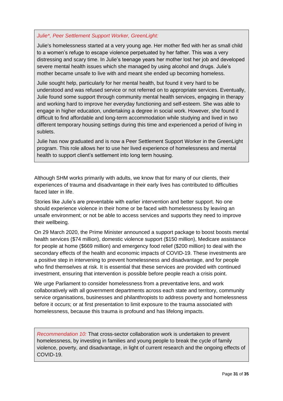#### *Julie\*, Peer Settlement Support Worker, GreenLight:*

Julie's homelessness started at a very young age. Her mother fled with her as small child to a women's refuge to escape violence perpetuated by her father. This was a very distressing and scary time. In Julie's teenage years her mother lost her job and developed severe mental health issues which she managed by using alcohol and drugs. Julie's mother became unsafe to live with and meant she ended up becoming homeless.

Julie sought help, particularly for her mental health, but found it very hard to be understood and was refused service or not referred on to appropriate services. Eventually, Julie found some support through community mental health services, engaging in therapy and working hard to improve her everyday functioning and self-esteem. She was able to engage in higher education, undertaking a degree in social work. However, she found it difficult to find affordable and long-term accommodation while studying and lived in two different temporary housing settings during this time and experienced a period of living in sublets.

Julie has now graduated and is now a Peer Settlement Support Worker in the GreenLight program. This role allows her to use her lived experience of homelessness and mental health to support client's settlement into long term housing.

Although SHM works primarily with adults, we know that for many of our clients, their experiences of trauma and disadvantage in their early lives has contributed to difficulties faced later in life.

Stories like Julie's are preventable with earlier intervention and better support. No one should experience violence in their home or be faced with homelessness by leaving an unsafe environment; or not be able to access services and supports they need to improve their wellbeing.

On 29 March 2020, the Prime Minister announced a support package to boost boosts mental health services (\$74 million), domestic violence support (\$150 million), Medicare assistance for people at home (\$669 million) and emergency food relief (\$200 million) to deal with the secondary effects of the health and economic impacts of COVID-19. These investments are a positive step in intervening to prevent homelessness and disadvantage, and for people who find themselves at risk. It is essential that these services are provided with continued investment, ensuring that intervention is possible before people reach a crisis point.

We urge Parliament to consider homelessness from a preventative lens, and work collaboratively with all government departments across each state and territory, community service organisations, businesses and philanthropists to address poverty and homelessness before it occurs; or at first presentation to limit exposure to the trauma associated with homelessness, because this trauma is profound and has lifelong impacts.

*Recommendation 10:* That cross-sector collaboration work is undertaken to prevent homelessness, by investing in families and young people to break the cycle of family violence, poverty, and disadvantage, in light of current research and the ongoing effects of COVID-19.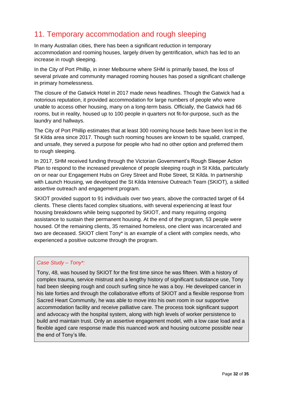# <span id="page-31-0"></span>11. Temporary accommodation and rough sleeping

In many Australian cities, there has been a significant reduction in temporary accommodation and rooming houses, largely driven by gentrification, which has led to an increase in rough sleeping.

In the City of Port Phillip, in inner Melbourne where SHM is primarily based, the loss of several private and community managed rooming houses has posed a significant challenge in primary homelessness.

The closure of the Gatwick Hotel in 2017 made news headlines. Though the Gatwick had a notorious reputation, it provided accommodation for large numbers of people who were unable to access other housing, many on a long-term basis. Officially, the Gatwick had 66 rooms, but in reality, housed up to 100 people in quarters not fit-for-purpose, such as the laundry and hallways.

The City of Port Phillip estimates that at least 300 rooming house beds have been lost in the St Kilda area since 2017. Though such rooming houses are known to be squalid, cramped, and unsafe, they served a purpose for people who had no other option and preferred them to rough sleeping.

In 2017, SHM received funding through the Victorian Government's Rough Sleeper Action Plan to respond to the increased prevalence of people sleeping rough in St Kilda, particularly on or near our Engagement Hubs on Grey Street and Robe Street, St Kilda. In partnership with Launch Housing, we developed the St Kilda Intensive Outreach Team (SKIOT), a skilled assertive outreach and engagement program.

SKIOT provided support to 91 individuals over two years, above the contracted target of 64 clients. These clients faced complex situations, with several experiencing at least four housing breakdowns while being supported by SKIOT, and many requiring ongoing assistance to sustain their permanent housing. At the end of the program, 53 people were housed. Of the remaining clients, 35 remained homeless, one client was incarcerated and two are deceased. SKIOT client Tony\* is an example of a client with complex needs, who experienced a positive outcome through the program.

#### *Case Study – Tony\*:*

Tony, 48, was housed by SKIOT for the first time since he was fifteen. With a history of complex trauma, service mistrust and a lengthy history of significant substance use, Tony had been sleeping rough and couch surfing since he was a boy. He developed cancer in his late forties and through the collaborative efforts of SKIOT and a flexible response from Sacred Heart Community, he was able to move into his own room in our supportive accommodation facility and receive palliative care. The process took significant support and advocacy with the hospital system, along with high levels of worker persistence to build and maintain trust. Only an assertive engagement model, with a low case load and a flexible aged care response made this nuanced work and housing outcome possible near the end of Tony's life.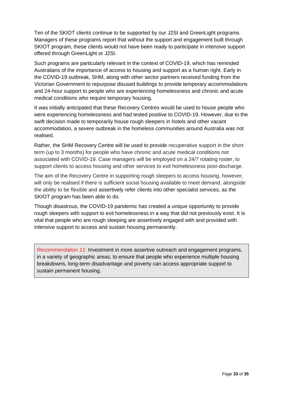Ten of the SKIOT clients continue to be supported by our J2SI and GreenLight programs. Managers of these programs report that without the support and engagement built through SKIOT program, these clients would not have been ready to participate in intensive support offered through GreenLight or J2SI.

Such programs are particularly relevant in the context of COVID-19, which has reminded Australians of the importance of access to housing and support as a human right. Early in the COVID-19 outbreak, SHM, along with other sector partners received funding from the Victorian Government to repurpose disused buildings to provide temporary accommodations and 24-hour support to people who are experiencing homelessness and chronic and acute medical conditions who require temporary housing.

It was initially anticipated that these Recovery Centres would be used to house people who were experiencing homelessness and had tested positive to COVID-19. However, due to the swift decision made to temporarily house rough sleepers in hotels and other vacant accommodation, a severe outbreak in the homeless communities around Australia was not realised.

Rather, the SHM Recovery Centre will be used to provide recuperative support in the short term (up to 3 months) for people who have chronic and acute medical conditions not associated with COVID-19. Case managers will be employed on a 24/7 rotating roster, to support clients to access housing and other services to exit homelessness post-discharge.

The aim of the Recovery Centre in supporting rough sleepers to access housing, however, will only be realised if there is sufficient social housing available to meet demand, alongside the ability to be flexible and assertively refer clients into other specialist services, as the SKIOT program has been able to do.

Though disastrous, the COVID-19 pandemic has created a unique opportunity to provide rough sleepers with support to exit homelessness in a way that did not previously exist. It is vital that people who are rough sleeping are assertively engaged with and provided with intensive support to access and sustain housing permanently.

<span id="page-32-0"></span>*Recommendation 11:* Investment in more assertive outreach and engagement programs, in a variety of geographic areas, to ensure that people who experience multiple housing breakdowns, long-term disadvantage and poverty can access appropriate support to sustain permanent housing.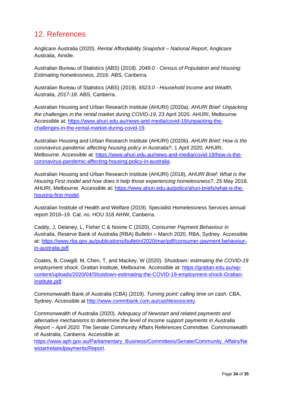# 12. References

Anglicare Australia (2020). *Rental Affordability Snapshot – National Report*, Anglicare Australia, Ainslie.

Australian Bureau of Statistics (ABS) (2018). *2049.0 - Census of Population and Housing: Estimating homelessness, 2016*. ABS, Canberra.

Australian Bureau of Statistics (ABS) (2019). *6523.0 - Household Income and Wealth, Australia, 2017-18*. ABS, Canberra.

Australian Housing and Urban Research Institute (AHURI) (2020a). *AHURI Brief: Unpacking the challenges in the rental market during COVID-19*, 23 April 2020. AHURI, Melbourne. Accessible at: [https://www.ahuri.edu.au/news-and-media/covid-19/unpacking-the](https://www.ahuri.edu.au/news-and-media/covid-19/unpacking-the-challenges-in-the-rental-market-during-covid-19)[challenges-in-the-rental-market-during-covid-19.](https://www.ahuri.edu.au/news-and-media/covid-19/unpacking-the-challenges-in-the-rental-market-during-covid-19)

Australian Housing and Urban Research Institute (AHURI) (2020b). *AHURI Brief: How is the coronavirus pandemic affecting housing policy in Australia?*, 1 April 2020. AHURI, Melbourne. Accessible at: [https://www.ahuri.edu.au/news-and-media/covid-19/how-is-the](https://www.ahuri.edu.au/news-and-media/covid-19/how-is-the-coronavirus-pandemic-affecting-housing-policy-in-australia)[coronavirus-pandemic-affecting-housing-policy-in-australia.](https://www.ahuri.edu.au/news-and-media/covid-19/how-is-the-coronavirus-pandemic-affecting-housing-policy-in-australia)

Australian Housing and Urban Research Institute (AHURI) (2018), *AHURI Brief: What is the Housing First model and how does it help those experiencing homelessness?*, 25 May 2018. AHURI, Melbourne. Accessible at: [https://www.ahuri.edu.au/policy/ahuri-briefs/what-is-the](https://www.ahuri.edu.au/policy/ahuri-briefs/what-is-the-housing-first-model)[housing-first-model.](https://www.ahuri.edu.au/policy/ahuri-briefs/what-is-the-housing-first-model)

Australian Institute of Health and Welfare (2019). Specialist Homelessness Services annual report 2018–19. Cat. no. HOU 318 AIHW, Canberra.

Caddy, J, Delaney, L, Fisher C & Noone C (2020), *Consumer Payment Behaviour in Australia*, Reserve Bank of Australia (RBA) Bulletin – March 2020, RBA, Sydney. Accessible at: [https://www.rba.gov.au/publications/bulletin/2020/mar/pdf/consumer-payment-behaviour](https://www.rba.gov.au/publications/bulletin/2020/mar/pdf/consumer-payment-behaviour-in-australia.pdf)[in-australia.pdf.](https://www.rba.gov.au/publications/bulletin/2020/mar/pdf/consumer-payment-behaviour-in-australia.pdf)

Coates, B, Cowgill, M, Chen, T, and Mackey, W (2020). *Shutdown: estimating the COVID-19 employment shock*. Grattan Institute, Melbourne. Accessible at: [https://grattan.edu.au/wp](https://grattan.edu.au/wp-content/uploads/2020/04/Shutdown-estimating-the-COVID-19-employment-shock-Grattan-Institute.pdf)[content/uploads/2020/04/Shutdown-estimating-the-COVID-19-employment-shock-Grattan-](https://grattan.edu.au/wp-content/uploads/2020/04/Shutdown-estimating-the-COVID-19-employment-shock-Grattan-Institute.pdf)[Institute.pdf.](https://grattan.edu.au/wp-content/uploads/2020/04/Shutdown-estimating-the-COVID-19-employment-shock-Grattan-Institute.pdf)

Commonwealth Bank of Australia (CBA) (2019). *Turning point: calling time on cash*. CBA, Sydney. Accessible at [http://www.commbank.com.au/cashlesssociety.](http://www.commbank.com.au/cashlesssociety)

Commonwealth of Australia (2020). *Adequacy of Newstart and related payments and alternative mechanisms to determine the level of income support payments in Australia Report – April 2020.* The Senate Community Affairs References Committee. Commonwealth of Australia, Canberra. Accessible at:

[https://www.aph.gov.au/Parliamentary\\_Business/Committees/Senate/Community\\_Affairs/Ne](https://www.aph.gov.au/Parliamentary_Business/Committees/Senate/Community_Affairs/Newstartrelatedpayments/Report) [wstartrelatedpayments/Report.](https://www.aph.gov.au/Parliamentary_Business/Committees/Senate/Community_Affairs/Newstartrelatedpayments/Report)